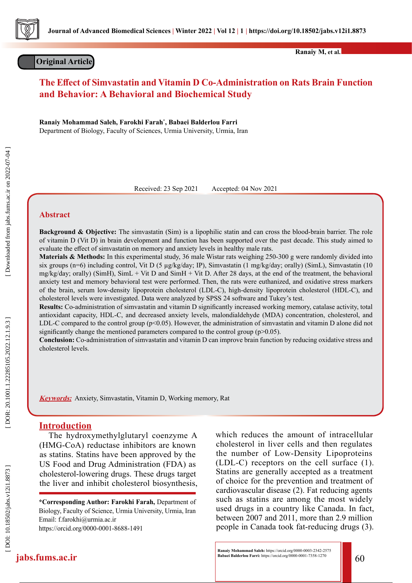

## **Original Article**

**Ranaiy M, et al.**

# **The Effect of Simvastatin and Vitamin D Co-Administration on Rats Brain Function and Behavior: A Behavioral and Biochemical Study**

**Ranaiy Mohammad Saleh, Farokhi Farah \* , Babaei Balderlou Farri**  Department of Biology, Faculty of Sciences, Urmia University, Urmia, Iran

Received: 23 Sep 2021 Accepted: 04 Nov 2021

### **Abstract**

**Background & Objective:** The simvastatin (Sim) is a lipophilic statin and can cross the blood-brain barrier. The role of vitamin D (Vit D) in brain development and function has been supported over the past decade. This study aimed to evaluate the effect of simvastatin on memory and anxiety levels in healthy male rats.

**Materials & Methods:** In this experimental study, 36 male Wistar rats weighing 250-300 g were randomly divided into six groups (n=6) including control, Vit D (5 µg/kg/day; IP), Simvastatin (1 mg/kg/day; orally) (SimL), Simvastatin (10 mg/kg/day; orally) (SimH), SimL + Vit D and SimH + Vit D. After 28 days, at the end of the treatment, the behavioral anxiety test and memory behavioral test were performed. Then, the rats were euthanized, and oxidative stress markers of the brain, serum low-density lipoprotein cholesterol (LDL-C), high-density lipoprotein cholesterol (HDL-C), and cholesterol levels were investigated. Data were analyzed by SPSS 24 software and Tukey's test.

**Results:** Co-administration of simvastatin and vitamin D significantly increased working memory, catalase activity, total antioxidant capacity, HDL-C, and decreased anxiety levels, malondialdehyde (MDA) concentration, cholesterol, and LDL-C compared to the control group ( $p<0.05$ ). However, the administration of simvastatin and vitamin D alone did not significantly change the mentioned parameters compared to the control group (p>0.05).

**Conclusion:** Co-administration of simvastatin and vitamin D can improve brain function by reducing oxidative stress and cholesterol levels.

**Keywords:** Anxiety, Simvastatin, Vitamin D, Working memory, Rat

### **Introduction**

The hydroxymethylglutaryl coenzyme A (HMG-CoA) reductase inhibitors are known as statins. Statins have been approved by the US Food and Drug Administration (FDA) as cholesterol-lowering drugs. These drugs target the liver and inhibit cholesterol biosynthesis,

**\*Corresponding Author: Farokhi Farah,** Department of Biology, Faculty of Science, Urmia University, Urmia, Iran Email: f.farokhi@urmia.ac.ir https://orcid.org/0000-0001-8688-1491

which reduces the amount of intracellular cholesterol in liver cells and then regulates the number of Low-Density Lipoproteins (LDL-C) receptors on the cell surface (1). Statins are generally accepted as a treatment of choice for the prevention and treatment of cardiovascular disease (2). Fat reducing agents such as statins are among the most widely used drugs in a country like Canada. In fact, between 2007 and 2011, more than 2.9 million people in Canada took fat-reducing drugs (3).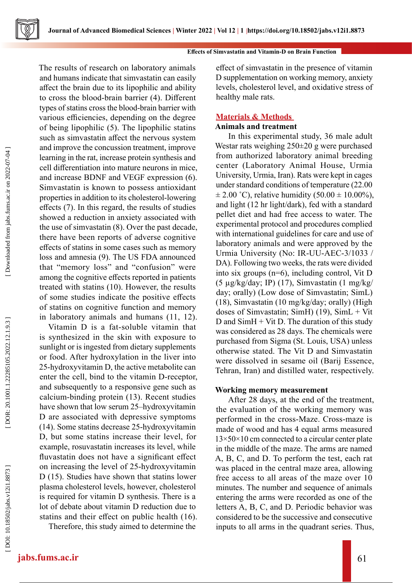



The results of research on laboratory animals and humans indicate that simvastatin can easily affect the brain due to its lipophilic and ability to cross the blood-brain barrier (4). Different types of statins cross the blood-brain barrier with various efficiencies, depending on the degree of being lipophilic (5). The lipophilic statins such as simvastatin affect the nervous system and improve the concussion treatment, improve learning in the rat, increase protein synthesis and cell differentiation into mature neurons in mice, and increase BDNF and VEGF expression (6). Simvastatin is known to possess antioxidant properties in addition to its cholesterol-lowering effects (7). In this regard, the results of studies showed a reduction in anxiety associated with the use of simvastatin (8). Over the past decade, there have been reports of adverse cognitive effects of statins in some cases such as memory loss and amnesia (9). The US FDA announced that "memory loss" and "confusion" were among the cognitive effects reported in patients treated with statins (10). However, the results of some studies indicate the positive effects of statins on cognitive function and memory in laboratory animals and humans (11, 12).

Vitamin D is a fat-soluble vitamin that is synthesized in the skin with exposure to sunlight or is ingested from dietary supplements or food. After hydroxylation in the liver into 25-hydroxyvitamin D, the active metabolite can enter the cell, bind to the vitamin D-receptor, and subsequently to a responsive gene such as calcium-binding protein (13). Recent studies have shown that low serum 25–hydroxyvitamin D are associated with depressive symptoms (14). Some statins decrease 25-hydroxyvitamin D, but some statins increase their level, for example, rosuvastatin increases its level, while fluvastatin does not have a significant effect on increasing the level of 25-hydroxyvitamin D (15). Studies have shown that statins lower plasma cholesterol levels, however, cholesterol is required for vitamin D synthesis. There is a lot of debate about vitamin D reduction due to statins and their effect on public health (16).

Therefore, this study aimed to determine the

effect of simvastatin in the presence of vitamin D supplementation on working memory, anxiety levels, cholesterol level, and oxidative stress of healthy male rats.

## **Materials & Methods**

## **Animals and treatment**

 In this experimental study, 36 male adult Westar rats weighing 250±20 g were purchased from authorized laboratory animal breeding center (Laboratory Animal House, Urmia University, Urmia, Iran). Rats were kept in cages under standard conditions of temperature (22.00  $\pm$  2.00 °C), relative humidity (50.00  $\pm$  10.00%), and light (12 hr light/dark), fed with a standard pellet diet and had free access to water. The experimental protocol and procedures complied with international guidelines for care and use of laboratory animals and were approved by the Urmia University (No: IR-UU-AEC-3/1033 / DA). Following two weeks, the rats were divided into six groups (n=6), including control, Vit D (5 µg/kg/day; IP) (17), Simvastatin (1 mg/kg/ day; orally) (Low dose of Simvastatin; SimL) (18), Simvastatin (10 mg/kg/day; orally) (High doses of Simvastatin; SimH) (19), SimL + Vit D and  $SimH + Vit$  D. The duration of this study was considered as 28 days. The chemicals were purchased from Sigma (St. Louis, USA) unless otherwise stated. The Vit D and Simvastatin were dissolved in sesame oil (Barij Essence, Tehran, Iran) and distilled water, respectively.

## **Working memory measurement**

After 28 days, at the end of the treatment, the evaluation of the working memory was performed in the cross-Maze. Cross-maze is made of wood and has 4 equal arms measured  $13\times50\times10$  cm connected to a circular center plate in the middle of the maze. The arms are named A, B, C, and D. To perform the test, each rat was placed in the central maze area, allowing free access to all areas of the maze over 10 minutes. The number and sequence of animals entering the arms were recorded as one of the letters A, B, C, and D. Periodic behavior was considered to be the successive and consecutive inputs to all arms in the quadrant series. Thus,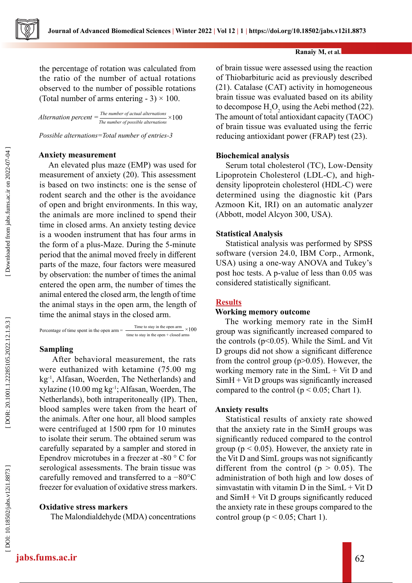

the percentage of rotation was calculated from the ratio of the number of actual rotations observed to the number of possible rotations (Total number of arms entering - 3)  $\times$  100.

*Alternation percent = The number of actual alternations The number of possible alternations*  $\times$  100<sup>*The number of possible alternations*</sup>

*Possible alternations=Total number of entries-3*

### **Anxiety measurement**

An elevated plus maze (EMP) was used for measurement of anxiety (20). This assessment is based on two instincts: one is the sense of rodent search and the other is the avoidance of open and bright environments. In this way, the animals are more inclined to spend their time in closed arms. An anxiety testing device is a wooden instrument that has four arms in the form of a plus-Maze. During the 5-minute period that the animal moved freely in different parts of the maze, four factors were measured by observation: the number of times the animal entered the open arm, the number of times the animal entered the closed arm, the length of time the animal stays in the open arm, the length of time the animal stays in the closed arm.

Percentage of time spent in the open arm = Time to stay in the open arm  $\times 100$ time to stay in the open + closed arms

### **Sampling**

 After behavioral measurement, the rats were euthanized with ketamine (75.00 mg kg-1, Alfasan, Woerden, The Netherlands) and xylazine (10.00 mg kg-1; Alfasan, Woerden, The Netherlands), both intraperitoneally (IP). Then, blood samples were taken from the heart of the animals. After one hour, all blood samples were centrifuged at 1500 rpm for 10 minutes to isolate their serum. The obtained serum was carefully separated by a sampler and stored in Ependrov microtubes in a freezer at -80 ° C for serological assessments. The brain tissue was carefully removed and transferred to a −80°C freezer for evaluation of oxidative stress markers.

#### **Oxidative stress markers**

The Malondialdehyde (MDA) concentrations

of brain tissue were assessed using the reaction of Thiobarbituric acid as previously described (21). Catalase (CAT) activity in homogeneous brain tissue was evaluated based on its ability to decompose  $H_2O_2$  using the Aebi method (22). The amount of total antioxidant capacity (TAOC) of brain tissue was evaluated using the ferric reducing antioxidant power (FRAP) test (23).

#### **Biochemical analysis**

Serum total cholesterol (TC), Low-Density Lipoprotein Cholesterol (LDL-C), and highdensity lipoprotein cholesterol (HDL-C) were determined using the diagnostic kit (Pars Azmoon Kit, IRI) on an automatic analyzer (Abbott, model Alcyon 300, USA).

#### **Statistical Analysis**

Statistical analysis was performed by SPSS software (version 24.0, IBM Corp., Armonk, USA) using a one-way ANOVA and Tukey's post hoc tests. A p-value of less than 0.05 was considered statistically significant.

### **Results**

#### **Working memory outcome**

The working memory rate in the SimH group was significantly increased compared to the controls (p<0.05). While the SimL and Vit D groups did not show a significant difference from the control group  $(p>0.05)$ . However, the working memory rate in the  $SimL + Vit$  D and  $SimH + VitD$  groups was significantly increased compared to the control ( $p < 0.05$ ; Chart 1).

#### **Anxiety results**

Statistical results of anxiety rate showed that the anxiety rate in the SimH groups was significantly reduced compared to the control group ( $p < 0.05$ ). However, the anxiety rate in the Vit D and SimL groups was not significantly different from the control ( $p > 0.05$ ). The administration of both high and low doses of simvastatin with vitamin D in the  $SimL + Vit$  D and  $SimH + VitD$  groups significantly reduced the anxiety rate in these groups compared to the control group ( $p < 0.05$ ; Chart 1).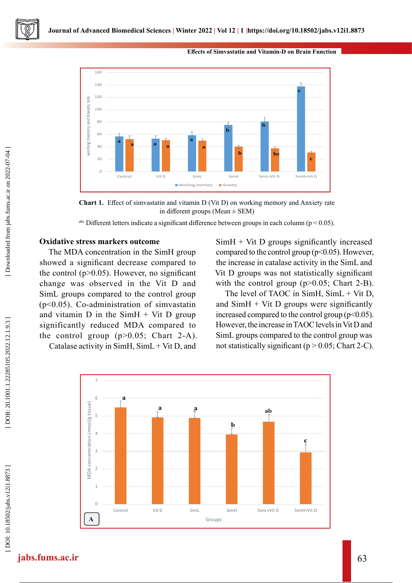

#### **Effects of Simvastatin and Vitamin-D on Brain Function**

**Chart 1.** Effect of simvastatin and vitamin D (Vit D) on working memory and Anxiety rate in different groups (Mean  $\pm$  SEM)

<sup>abc</sup> Different letters indicate a significant difference between groups in each column ( $p < 0.05$ ).

### **Oxidative stress markers outcome**

The MDA concentration in the SimH group showed a significant decrease compared to the control ( $p$  $>$ 0.05). However, no significant change was observed in the Vit D and SimL groups compared to the control group (p<0.05). Co-administration of simvastatin and vitamin D in the  $SimH + Vit$  D group significantly reduced MDA compared to the control group  $(p>0.05;$  Chart 2-A).

Catalase activity in SimH, SimL + Vit D, and

 $SimH + Vit$  D groups significantly increased compared to the control group ( $p<0.05$ ). However, the increase in catalase activity in the SimL and Vit D groups was not statistically significant with the control group  $(p>0.05;$  Chart 2-B).

The level of TAOC in SimH, SimL + Vit D, and  $SimH + Vit$  D groups were significantly increased compared to the control group ( $p<0.05$ ). However, the increase in TAOC levels in Vit D and SimL groups compared to the control group was not statistically significant ( $p > 0.05$ ; Chart 2-C).

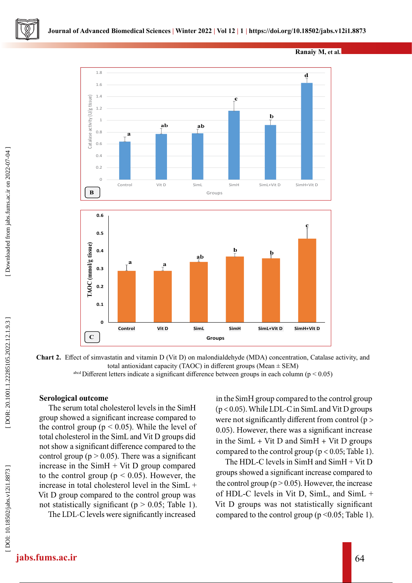



**Chart 2.** Effect of simvastatin and vitamin D (Vit D) on malondialdehyde (MDA) concentration, Catalase activity, and total antioxidant capacity (TAOC) in different groups (Mean ± SEM)

## **Serological outcome**

The serum total cholesterol levels in the SimH group showed a significant increase compared to the control group ( $p < 0.05$ ). While the level of total cholesterol in the SimL and Vit D groups did not show a significant difference compared to the control group ( $p > 0.05$ ). There was a significant increase in the SimH + Vit D group compared to the control group ( $p < 0.05$ ). However, the increase in total cholesterol level in the SimL + Vit D group compared to the control group was not statistically significant ( $p > 0.05$ ; Table 1). The LDL-C levels were significantly increased

in the SimH group compared to the control group (p < 0.05). While LDL-C in SimL and Vit D groups were not significantly different from control (p > 0.05). However, there was a significant increase in the SimL + Vit D and SimH + Vit D groups compared to the control group ( $p < 0.05$ ; Table 1).

The HDL-C levels in SimH and SimH + Vit D groups showed a significant increase compared to the control group ( $p > 0.05$ ). However, the increase of HDL-C levels in Vit D, SimL, and SimL + Vit D groups was not statistically significant compared to the control group ( $p \le 0.05$ ; Table 1).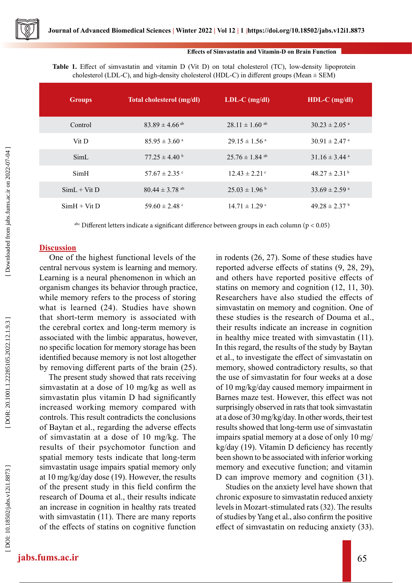#### **Effects of Simvastatin and Vitamin-D on Brain Function**

**Table 1.** Effect of simvastatin and vitamin D (Vit D) on total cholesterol (TC), low-density lipoprotein cholesterol (LDL-C), and high-density cholesterol (HDL-C) in different groups (Mean  $\pm$  SEM)

| <b>Groups</b>  | Total cholesterol (mg/dl)      | $LDL-C$ (mg/dl)                | $HDL-C$ (mg/dl)               |
|----------------|--------------------------------|--------------------------------|-------------------------------|
| Control        | $83.89 \pm 4.66$ <sup>ab</sup> | $28.11 \pm 1.60$ ab            | $30.23 \pm 2.05$ <sup>a</sup> |
| Vit D          | $85.95 \pm 3.60$ <sup>a</sup>  | $29.15 \pm 1.56$ <sup>a</sup>  | $30.91 \pm 2.47$ <sup>a</sup> |
| SimL           | $77.25 \pm 4.40^{\circ}$       | $25.76 \pm 1.84$ <sup>ab</sup> | $31.16 \pm 3.44$ <sup>a</sup> |
| SimH           | $57.67 \pm 2.35$ c             | $12.43 \pm 2.21$ °             | $48.27 \pm 2.31^{\mathrm{b}}$ |
| $SimL + Vit$ D | $80.44 \pm 3.78$ <sup>ab</sup> | $25.03 \pm 1.96$ <sup>b</sup>  | $33.69 \pm 2.59$ <sup>a</sup> |
| $SimH + VitD$  | 59.60 $\pm$ 2.48 $\degree$     | $14.71 \pm 1.29$ c             | $49.28 \pm 2.37$              |

<sup>abc</sup> Different letters indicate a significant difference between groups in each column ( $p < 0.05$ )

### **Discussion**

One of the highest functional levels of the central nervous system is learning and memory. Learning is a neural phenomenon in which an organism changes its behavior through practice, while memory refers to the process of storing what is learned (24). Studies have shown that short-term memory is associated with the cerebral cortex and long-term memory is associated with the limbic apparatus, however, no specific location for memory storage has been identified because memory is not lost altogether by removing different parts of the brain (25).

The present study showed that rats receiving simvastatin at a dose of 10 mg/kg as well as simvastatin plus vitamin D had significantly increased working memory compared with controls. This result contradicts the conclusions of Baytan et al., regarding the adverse effects of simvastatin at a dose of 10 mg/kg. The results of their psychomotor function and spatial memory tests indicate that long-term simvastatin usage impairs spatial memory only at 10 mg/kg/day dose (19). However, the results of the present study in this field confirm the research of Douma et al., their results indicate an increase in cognition in healthy rats treated with simvastatin (11). There are many reports of the effects of statins on cognitive function in rodents (26, 27). Some of these studies have reported adverse effects of statins (9, 28, 29), and others have reported positive effects of statins on memory and cognition (12, 11, 30). Researchers have also studied the effects of simvastatin on memory and cognition. One of these studies is the research of Douma et al., their results indicate an increase in cognition in healthy mice treated with simvastatin (11). In this regard, the results of the study by Baytan et al., to investigate the effect of simvastatin on memory, showed contradictory results, so that the use of simvastatin for four weeks at a dose of 10 mg/kg/day caused memory impairment in Barnes maze test. However, this effect was not surprisingly observed in rats that took simvastatin at a dose of 30 mg/kg/day. In other words, their test results showed that long-term use of simvastatin impairs spatial memory at a dose of only 10 mg/ kg/day (19). Vitamin D deficiency has recently been shown to be associated with inferior working memory and executive function; and vitamin D can improve memory and cognition (31).

Studies on the anxiety level have shown that chronic exposure to simvastatin reduced anxiety levels in Mozart-stimulated rats (32). The results of studies by Yang et al., also confirm the positive effect of simvastatin on reducing anxiety (33).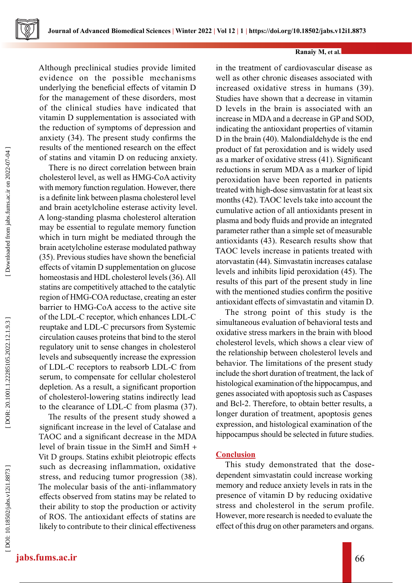Although preclinical studies provide limited evidence on the possible mechanisms underlying the beneficial effects of vitamin D for the management of these disorders, most of the clinical studies have indicated that vitamin D supplementation is associated with the reduction of symptoms of depression and anxiety (34). The present study confirms the results of the mentioned research on the effect of statins and vitamin D on reducing anxiety.

There is no direct correlation between brain cholesterol level, as well as HMG-CoA activity with memory function regulation. However, there is a definite link between plasma cholesterol level and brain acetylcholine esterase activity level. A long-standing plasma cholesterol alteration may be essential to regulate memory function which in turn might be mediated through the brain acetylcholine esterase modulated pathway (35). Previous studies have shown the beneficial effects of vitamin D supplementation on glucose homeostasis and HDL cholesterol levels (36). All statins are competitively attached to the catalytic region of HMG-COA reductase, creating an ester barrier to HMG-CoA access to the active site of the LDL-C receptor, which enhances LDL-C reuptake and LDL-C precursors from Systemic circulation causes proteins that bind to the sterol regulatory unit to sense changes in cholesterol levels and subsequently increase the expression of LDL-C receptors to reabsorb LDL-C from serum, to compensate for cellular cholesterol depletion. As a result, a significant proportion of cholesterol-lowering statins indirectly lead to the clearance of LDL-C from plasma (37).

The results of the present study showed a significant increase in the level of Catalase and TAOC and a significant decrease in the MDA level of brain tissue in the SimH and SimH + Vit D groups. Statins exhibit pleiotropic effects such as decreasing inflammation, oxidative stress, and reducing tumor progression (38). The molecular basis of the anti-inflammatory effects observed from statins may be related to their ability to stop the production or activity of ROS. The antioxidant effects of statins are likely to contribute to their clinical effectiveness

in the treatment of cardiovascular disease as well as other chronic diseases associated with increased oxidative stress in humans (39). Studies have shown that a decrease in vitamin D levels in the brain is associated with an increase in MDA and a decrease in GP and SOD, indicating the antioxidant properties of vitamin D in the brain (40). Malondialdehyde is the end product of fat peroxidation and is widely used as a marker of oxidative stress (41). Significant reductions in serum MDA as a marker of lipid peroxidation have been reported in patients treated with high-dose simvastatin for at least six months (42). TAOC levels take into account the cumulative action of all antioxidants present in plasma and body fluids and provide an integrated parameter rather than a simple set of measurable antioxidants (43). Research results show that TAOC levels increase in patients treated with atorvastatin (44). Simvastatin increases catalase levels and inhibits lipid peroxidation (45). The results of this part of the present study in line with the mentioned studies confirm the positive antioxidant effects of simvastatin and vitamin D.

The strong point of this study is the simultaneous evaluation of behavioral tests and oxidative stress markers in the brain with blood cholesterol levels, which shows a clear view of the relationship between cholesterol levels and behavior. The limitations of the present study include the short duration of treatment, the lack of histological examination of the hippocampus, and genes associated with apoptosis such as Caspases and Bcl-2. Therefore, to obtain better results, a longer duration of treatment, apoptosis genes expression, and histological examination of the hippocampus should be selected in future studies.

## **Conclusion**

This study demonstrated that the dosedependent simvastatin could increase working memory and reduce anxiety levels in rats in the presence of vitamin D by reducing oxidative stress and cholesterol in the serum profile. However, more research is needed to evaluate the effect of this drug on other parameters and organs.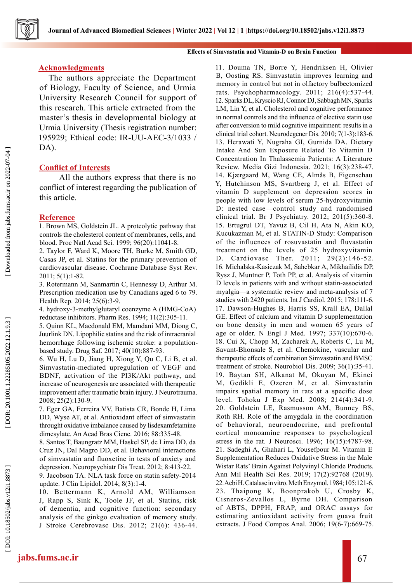

#### **Effects of Simvastatin and Vitamin-D on Brain Function**

#### **Acknowledgments**

The authors appreciate the Department of Biology, Faculty of Science, and Urmia University Research Council for support of this research. This article extracted from the master's thesis in developmental biology at Urmia University (Thesis registration number: 195929; Ethical code: IR-UU-AEC-3/1033 / DA).

### **Conflict of Interests**

 All the authors express that there is no conflict of interest regarding the publication of this article.

#### **Reference**

1. Brown MS, Goldstein JL. A proteolytic pathway that controls the cholesterol content of membranes, cells, and blood. Proc Natl Acad Sci. 1999; 96(20):11041-8.

2. Taylor F, Ward K, Moore TH, Burke M, Smith GD, Casas JP, et al. Statins for the primary prevention of cardiovascular disease. Cochrane Database Syst Rev. 2011; 5(1):1-82.

3. Rotermann M, Sanmartin C, Hennessy D, Arthur M. Prescription medication use by Canadians aged 6 to 79. Health Rep. 2014; 25(6):3-9.

4. hydroxy-3-methylglutaryl coenzyme A (HMG-CoA) reductase inhibitors. Pharm Res. 1994; 11(2):305-11.

5. Quinn KL, Macdonald EM, Mamdani MM, Diong C, Juurlink DN. Lipophilic statins and the risk of intracranial hemorrhage following ischemic stroke: a populationbased study. Drug Saf. 2017; 40(10):887-93.

6. Wu H, Lu D, Jiang H, Xiong Y, Qu C, Li B, et al. Simvastatin-mediated upregulation of VEGF and BDNF, activation of the PI3K/Akt pathway, and increase of neurogenesis are associated with therapeutic improvement after traumatic brain injury. J Neurotrauma. 2008; 25(2):130-9.

7. Eger GA, Ferreira VV, Batista CR, Bonde H, Lima DD, Wyse AT, et al. Antioxidant effect of simvastatin throught oxidative imbalance caused by lisdexamfetamine dimesylate. An Acad Bras Cienc. 2016; 88:335-48.

8. Santos T, Baungratz MM, Haskel SP, de Lima DD, da Cruz JN, Dal Magro DD, et al. Behavioral interactions of simvastatin and fluoxetine in tests of anxiety and depression. Neuropsychiatr Dis Treat. 2012; 8:413-22.

9. Jacobson TA. NLA task force on statin safety-2014 update. J Clin Lipidol. 2014; 8(3):1-4.

10. Bettermann K, Arnold AM, Williamson J, Rapp S, Sink K, Toole JF, et al. Statins, risk of dementia, and cognitive function: secondary analysis of the ginkgo evaluation of memory study. J Stroke Cerebrovasc Dis. 2012; 21(6): 436-44. 11. Douma TN, Borre Y, Hendriksen H, Olivier B, Oosting RS. Simvastatin improves learning and memory in control but not in olfactory bulbectomized rats. Psychopharmacology. 2011; 216(4):537-44. 12. Sparks DL, Kryscio RJ, Connor DJ, Sabbagh MN, Sparks LM, Lin Y, et al. Cholesterol and cognitive performance in normal controls and the influence of elective statin use after conversion to mild cognitive impairment: results in a clinical trial cohort. Neurodegener Dis. 2010; 7(1-3):183-6. 13. Herawati Y, Nugraha GI, Gurnida DA. Dietary Intake And Sun Exposure Related To Vitamin D Concentration In Thalassemia Patients: A Literature Review. Media Gizi Indonesia. 2021; 16(3):238-47. 14. Kjærgaard M, Wang CE, Almås B, Figenschau Y, Hutchinson MS, Svartberg J, et al. Effect of vitamin D supplement on depression scores in people with low levels of serum 25-hydroxyvitamin D: nested case—control study and randomised clinical trial. Br J Psychiatry. 2012; 201(5):360-8. 15. Ertugrul DT, Yavuz B, Cil H, Ata N, Akin KO, Kucukazman M, et al. STATIN‐D Study: Comparison of the influences of rosuvastatin and fluvastatin treatment on the levels of 25 hydroxyvitamin D. Cardiovasc Ther. 2011; 29(2):146-52. 16. Michalska-Kasiczak M, Sahebkar A, Mikhailidis DP, Rysz J, Muntner P, Toth PP, et al. Analysis of vitamin D levels in patients with and without statin-associated myalgia—a systematic review and meta-analysis of 7 studies with 2420 patients. Int J Cardiol. 2015; 178:111-6. 17. Dawson-Hughes B, Harris SS, Krall EA, Dallal GE. Effect of calcium and vitamin D supplementation on bone density in men and women 65 years of age or older. N Engl J Med. 1997; 337(10):670-6. 18. Cui X, Chopp M, Zacharek A, Roberts C, Lu M, Savant-Bhonsale S, et al. Chemokine, vascular and therapeutic effects of combination Simvastatin and BMSC treatment of stroke. Neurobiol Dis. 2009; 36(1):35-41. 19. Baytan SH, Alkanat M, Okuyan M, Ekinci M, Gedikli E, Ozeren M, et al. Simvastatin impairs spatial memory in rats at a specific dose level. Tohoku J Exp Med. 2008; 214(4):341-9. 20. Goldstein LE, Rasmusson AM, Bunney BS, Roth RH. Role of the amygdala in the coordination of behavioral, neuroendocrine, and prefrontal cortical monoamine responses to psychological stress in the rat. J Neurosci. 1996; 16(15):4787-98. 21. Sadeghi A, Ghahari L, Yousefpour M. Vitamin E Supplementation Reduces Oxidative Stress in the Male Wistar Rats' Brain Against Polyvinyl Chloride Products. Ann Mil Health Sci Res. 2019; 17(2):92768 (2019). 22. Aebi H. Catalase in vitro. Meth Enzymol. 1984; 105:121-6. 23. Thaipong K, Boonprakob U, Crosby K, Cisneros-Zevallos L, Byrne DH. Comparison of ABTS, DPPH, FRAP, and ORAC assays for estimating antioxidant activity from guava fruit extracts. J Food Compos Anal. 2006; 19(6-7):669-75.